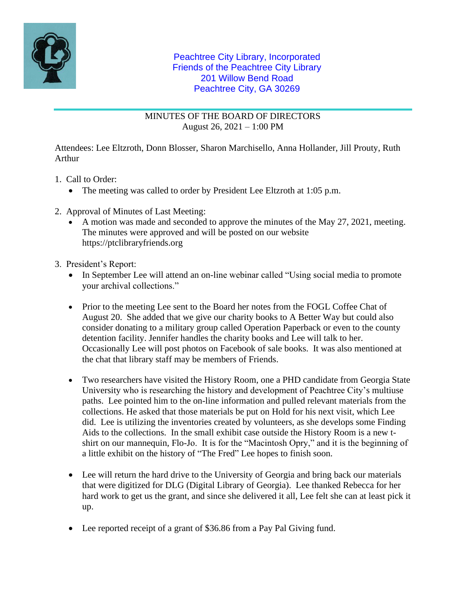

## Peachtree City Library, Incorporated Friends of the Peachtree City Library 201 Willow Bend Road Peachtree City, GA 30269

MINUTES OF THE BOARD OF DIRECTORS August 26, 2021 – 1:00 PM

Attendees: Lee Eltzroth, Donn Blosser, Sharon Marchisello, Anna Hollander, Jill Prouty, Ruth Arthur

- 1. Call to Order:
	- The meeting was called to order by President Lee Eltzroth at 1:05 p.m.
- 2. Approval of Minutes of Last Meeting:
	- A motion was made and seconded to approve the minutes of the May 27, 2021, meeting. The minutes were approved and will be posted on our website https://ptclibraryfriends.org
- 3. President's Report:
	- In September Lee will attend an on-line webinar called "Using social media to promote your archival collections."
	- Prior to the meeting Lee sent to the Board her notes from the FOGL Coffee Chat of August 20. She added that we give our charity books to A Better Way but could also consider donating to a military group called Operation Paperback or even to the county detention facility. Jennifer handles the charity books and Lee will talk to her. Occasionally Lee will post photos on Facebook of sale books. It was also mentioned at the chat that library staff may be members of Friends.
	- Two researchers have visited the History Room, one a PHD candidate from Georgia State University who is researching the history and development of Peachtree City's multiuse paths. Lee pointed him to the on-line information and pulled relevant materials from the collections. He asked that those materials be put on Hold for his next visit, which Lee did. Lee is utilizing the inventories created by volunteers, as she develops some Finding Aids to the collections. In the small exhibit case outside the History Room is a new tshirt on our mannequin, Flo-Jo. It is for the "Macintosh Opry," and it is the beginning of a little exhibit on the history of "The Fred" Lee hopes to finish soon.
	- Lee will return the hard drive to the University of Georgia and bring back our materials that were digitized for DLG (Digital Library of Georgia). Lee thanked Rebecca for her hard work to get us the grant, and since she delivered it all, Lee felt she can at least pick it up.
	- Lee reported receipt of a grant of \$36.86 from a Pay Pal Giving fund.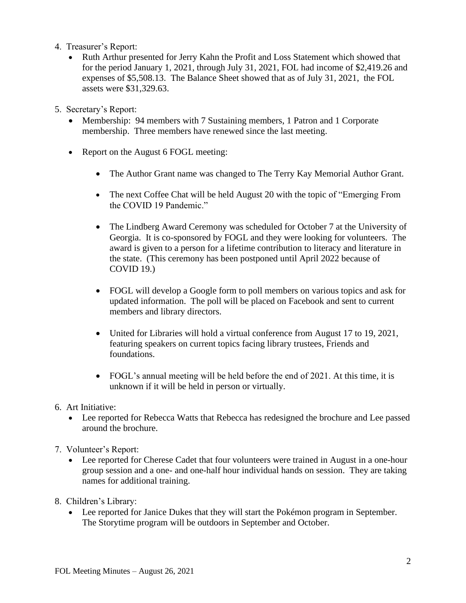- 4. Treasurer's Report:
	- Ruth Arthur presented for Jerry Kahn the Profit and Loss Statement which showed that for the period January 1, 2021, through July 31, 2021, FOL had income of \$2,419.26 and expenses of \$5,508.13. The Balance Sheet showed that as of July 31, 2021, the FOL assets were \$31,329.63.
- 5. Secretary's Report:
	- Membership: 94 members with 7 Sustaining members, 1 Patron and 1 Corporate membership. Three members have renewed since the last meeting.
	- Report on the August 6 FOGL meeting:
		- The Author Grant name was changed to The Terry Kay Memorial Author Grant.
		- The next Coffee Chat will be held August 20 with the topic of "Emerging From the COVID 19 Pandemic."
		- The Lindberg Award Ceremony was scheduled for October 7 at the University of Georgia. It is co-sponsored by FOGL and they were looking for volunteers. The award is given to a person for a lifetime contribution to literacy and literature in the state. (This ceremony has been postponed until April 2022 because of COVID 19.)
		- FOGL will develop a Google form to poll members on various topics and ask for updated information. The poll will be placed on Facebook and sent to current members and library directors.
		- United for Libraries will hold a virtual conference from August 17 to 19, 2021, featuring speakers on current topics facing library trustees, Friends and foundations.
		- FOGL's annual meeting will be held before the end of 2021. At this time, it is unknown if it will be held in person or virtually.
- 6. Art Initiative:
	- Lee reported for Rebecca Watts that Rebecca has redesigned the brochure and Lee passed around the brochure.
- 7. Volunteer's Report:
	- Lee reported for Cherese Cadet that four volunteers were trained in August in a one-hour group session and a one- and one-half hour individual hands on session. They are taking names for additional training.
- 8. Children's Library:
	- Lee reported for Janice Dukes that they will start the Pokémon program in September. The Storytime program will be outdoors in September and October.